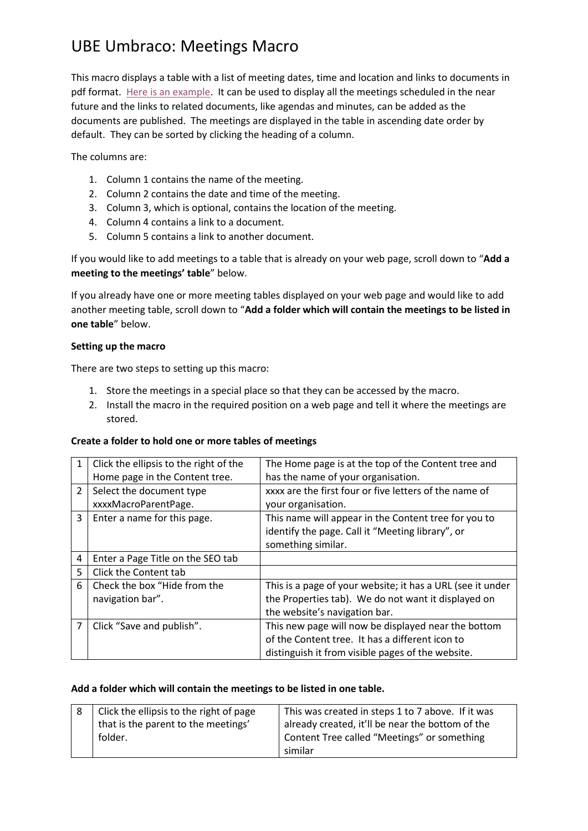## UBE Umbraco: Meetings Macro

This macro displays a table with a list of meeting dates, time and location and links to documents in pdf format. [Here is an example.](http://edgmondparishcouncil.co.uk/parish-council/meetings-agendas-minutes/) It can be used to display all the meetings scheduled in the near future and the links to related documents, like agendas and minutes, can be added as the documents are published. The meetings are displayed in the table in ascending date order by default. They can be sorted by clicking the heading of a column.

The columns are:

- 1. Column 1 contains the name of the meeting.
- 2. Column 2 contains the date and time of the meeting.
- 3. Column 3, which is optional, contains the location of the meeting.
- 4. Column 4 contains a link to a document.
- 5. Column 5 contains a link to another document.

If you would like to add meetings to a table that is already on your web page, scroll down to "**Add a meeting to the meetings' table**" below.

If you already have one or more meeting tables displayed on your web page and would like to add another meeting table, scroll down to "**Add a folder which will contain the meetings to be listed in one table**" below.

#### **Setting up the macro**

There are two steps to setting up this macro:

- 1. Store the meetings in a special place so that they can be accessed by the macro.
- 2. Install the macro in the required position on a web page and tell it where the meetings are stored.

### **Create a folder to hold one or more tables of meetings**

|                         | Click the ellipsis to the right of the | The Home page is at the top of the Content tree and        |
|-------------------------|----------------------------------------|------------------------------------------------------------|
|                         | Home page in the Content tree.         | has the name of your organisation.                         |
| $\overline{\mathbf{c}}$ | Select the document type               | xxxx are the first four or five letters of the name of     |
|                         | xxxxMacroParentPage.                   | your organisation.                                         |
| 3                       | Enter a name for this page.            | This name will appear in the Content tree for you to       |
|                         |                                        | identify the page. Call it "Meeting library", or           |
|                         |                                        | something similar.                                         |
| 4                       | Enter a Page Title on the SEO tab      |                                                            |
| 5                       | Click the Content tab                  |                                                            |
| 6                       | Check the box "Hide from the           | This is a page of your website; it has a URL (see it under |
|                         | navigation bar".                       | the Properties tab). We do not want it displayed on        |
|                         |                                        | the website's navigation bar.                              |
|                         | Click "Save and publish".              | This new page will now be displayed near the bottom        |
|                         |                                        | of the Content tree. It has a different icon to            |
|                         |                                        | distinguish it from visible pages of the website.          |

### **Add a folder which will contain the meetings to be listed in one table.**

| Click the ellipsis to the right of page<br>that is the parent to the meetings' | This was created in steps 1 to 7 above. If it was<br>already created, it'll be near the bottom of the |
|--------------------------------------------------------------------------------|-------------------------------------------------------------------------------------------------------|
| folder.                                                                        | Content Tree called "Meetings" or something<br>similar                                                |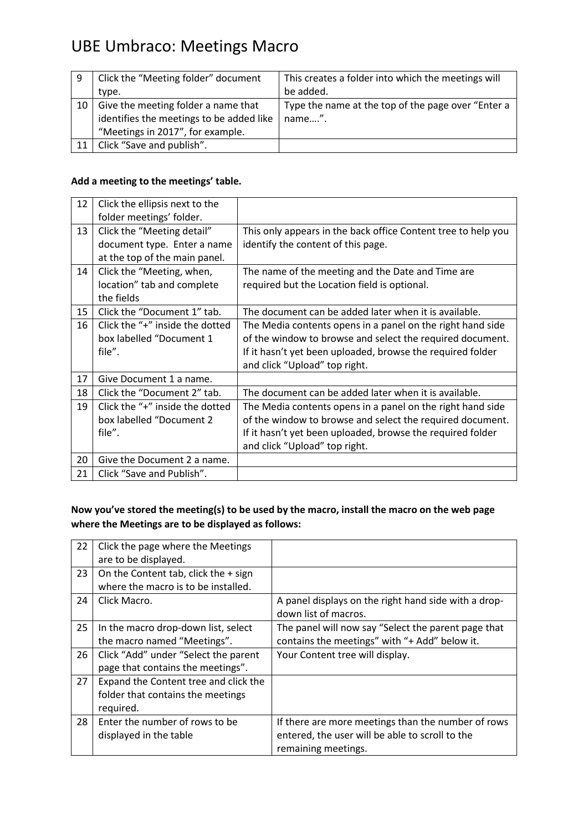## UBE Umbraco: Meetings Macro

| 9  | Click the "Meeting folder" document      | This creates a folder into which the meetings will |
|----|------------------------------------------|----------------------------------------------------|
|    | type.                                    | be added.                                          |
| 10 | Give the meeting folder a name that      | Type the name at the top of the page over "Enter a |
|    | identifies the meetings to be added like | name".                                             |
|    | "Meetings in 2017", for example.         |                                                    |
| 11 | Click "Save and publish".                |                                                    |

### **Add a meeting to the meetings' table.**

| 12 | Click the ellipsis next to the  |                                                               |
|----|---------------------------------|---------------------------------------------------------------|
|    | folder meetings' folder.        |                                                               |
| 13 | Click the "Meeting detail"      | This only appears in the back office Content tree to help you |
|    | document type. Enter a name     | identify the content of this page.                            |
|    | at the top of the main panel.   |                                                               |
| 14 | Click the "Meeting, when,       | The name of the meeting and the Date and Time are             |
|    | location" tab and complete      | required but the Location field is optional.                  |
|    | the fields                      |                                                               |
| 15 | Click the "Document 1" tab.     | The document can be added later when it is available.         |
| 16 | Click the "+" inside the dotted | The Media contents opens in a panel on the right hand side    |
|    | box labelled "Document 1        | of the window to browse and select the required document.     |
|    | file".                          | If it hasn't yet been uploaded, browse the required folder    |
|    |                                 | and click "Upload" top right.                                 |
| 17 | Give Document 1 a name.         |                                                               |
| 18 | Click the "Document 2" tab.     | The document can be added later when it is available.         |
| 19 | Click the "+" inside the dotted | The Media contents opens in a panel on the right hand side    |
|    | box labelled "Document 2        | of the window to browse and select the required document.     |
|    | file".                          | If it hasn't yet been uploaded, browse the required folder    |
|    |                                 | and click "Upload" top right.                                 |
| 20 | Give the Document 2 a name.     |                                                               |
| 21 | Click "Save and Publish".       |                                                               |
|    |                                 |                                                               |

### **Now you've stored the meeting(s) to be used by the macro, install the macro on the web page where the Meetings are to be displayed as follows:**

| 22 | Click the page where the Meetings      |                                                      |
|----|----------------------------------------|------------------------------------------------------|
|    | are to be displayed.                   |                                                      |
| 23 | On the Content tab, click the $+$ sign |                                                      |
|    | where the macro is to be installed.    |                                                      |
| 24 | Click Macro.                           | A panel displays on the right hand side with a drop- |
|    |                                        | down list of macros.                                 |
| 25 | In the macro drop-down list, select    | The panel will now say "Select the parent page that  |
|    | the macro named "Meetings".            | contains the meetings" with "+ Add" below it.        |
| 26 | Click "Add" under "Select the parent   | Your Content tree will display.                      |
|    | page that contains the meetings".      |                                                      |
| 27 | Expand the Content tree and click the  |                                                      |
|    | folder that contains the meetings      |                                                      |
|    | required.                              |                                                      |
| 28 | Enter the number of rows to be         | If there are more meetings than the number of rows   |
|    | displayed in the table                 | entered, the user will be able to scroll to the      |
|    |                                        | remaining meetings.                                  |